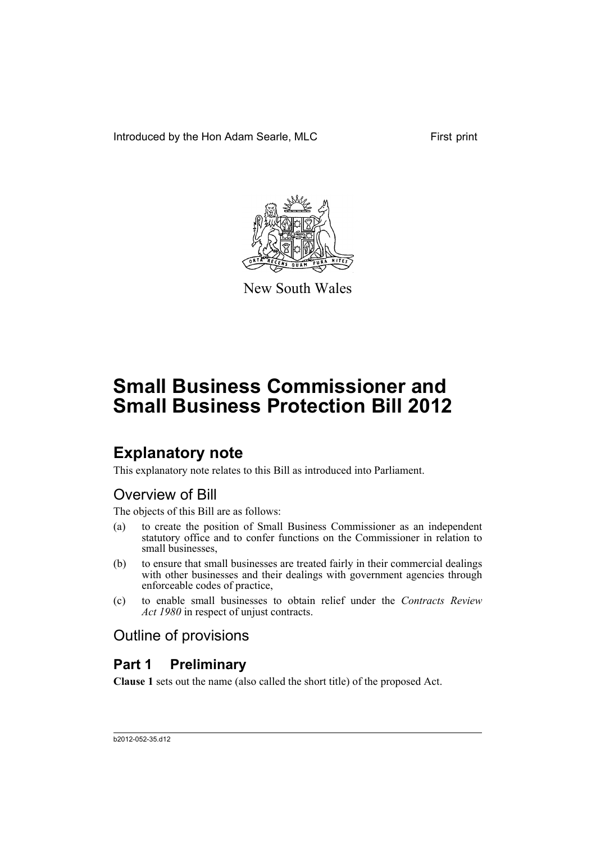Introduced by the Hon Adam Searle, MLC First print



New South Wales

# **Small Business Commissioner and Small Business Protection Bill 2012**

# **Explanatory note**

This explanatory note relates to this Bill as introduced into Parliament.

# Overview of Bill

The objects of this Bill are as follows:

- (a) to create the position of Small Business Commissioner as an independent statutory office and to confer functions on the Commissioner in relation to small businesses,
- (b) to ensure that small businesses are treated fairly in their commercial dealings with other businesses and their dealings with government agencies through enforceable codes of practice,
- (c) to enable small businesses to obtain relief under the *Contracts Review Act 1980* in respect of unjust contracts.

# Outline of provisions

# **Part 1 Preliminary**

**Clause 1** sets out the name (also called the short title) of the proposed Act.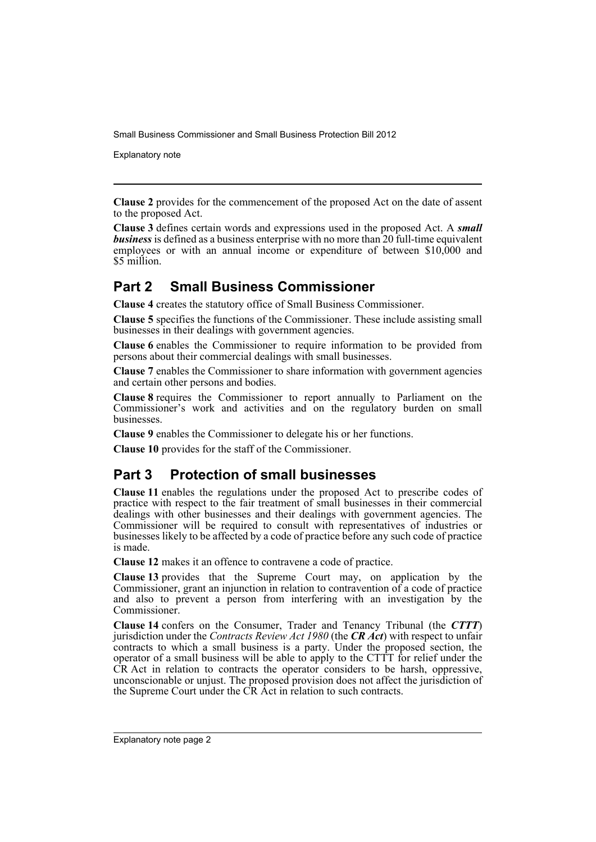Explanatory note

**Clause 2** provides for the commencement of the proposed Act on the date of assent to the proposed Act.

**Clause 3** defines certain words and expressions used in the proposed Act. A *small business* is defined as a business enterprise with no more than 20 full-time equivalent employees or with an annual income or expenditure of between \$10,000 and \$5 million.

# **Part 2 Small Business Commissioner**

**Clause 4** creates the statutory office of Small Business Commissioner.

**Clause 5** specifies the functions of the Commissioner. These include assisting small businesses in their dealings with government agencies.

**Clause 6** enables the Commissioner to require information to be provided from persons about their commercial dealings with small businesses.

**Clause 7** enables the Commissioner to share information with government agencies and certain other persons and bodies.

**Clause 8** requires the Commissioner to report annually to Parliament on the Commissioner's work and activities and on the regulatory burden on small **businesses** 

**Clause 9** enables the Commissioner to delegate his or her functions.

**Clause 10** provides for the staff of the Commissioner.

# **Part 3 Protection of small businesses**

**Clause 11** enables the regulations under the proposed Act to prescribe codes of practice with respect to the fair treatment of small businesses in their commercial dealings with other businesses and their dealings with government agencies. The Commissioner will be required to consult with representatives of industries or businesses likely to be affected by a code of practice before any such code of practice is made.

**Clause 12** makes it an offence to contravene a code of practice.

**Clause 13** provides that the Supreme Court may, on application by the Commissioner, grant an injunction in relation to contravention of a code of practice and also to prevent a person from interfering with an investigation by the Commissioner.

**Clause 14** confers on the Consumer, Trader and Tenancy Tribunal (the *CTTT*) jurisdiction under the *Contracts Review Act 1980* (the *CR Act*) with respect to unfair contracts to which a small business is a party. Under the proposed section, the operator of a small business will be able to apply to the CTTT for relief under the CR Act in relation to contracts the operator considers to be harsh, oppressive, unconscionable or unjust. The proposed provision does not affect the jurisdiction of the Supreme Court under the CR Act in relation to such contracts.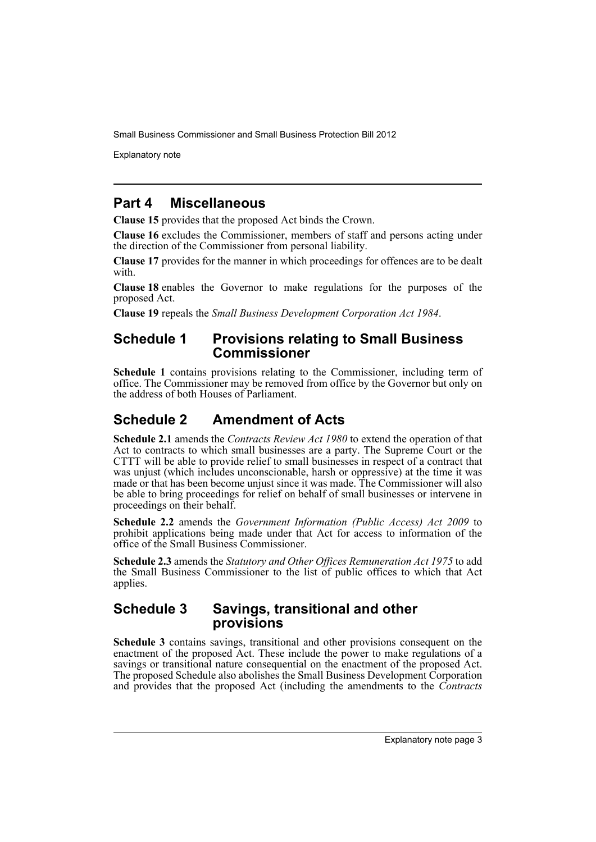Explanatory note

# **Part 4 Miscellaneous**

**Clause 15** provides that the proposed Act binds the Crown.

**Clause 16** excludes the Commissioner, members of staff and persons acting under the direction of the Commissioner from personal liability.

**Clause 17** provides for the manner in which proceedings for offences are to be dealt with.

**Clause 18** enables the Governor to make regulations for the purposes of the proposed Act.

**Clause 19** repeals the *Small Business Development Corporation Act 1984*.

## **Schedule 1 Provisions relating to Small Business Commissioner**

**Schedule 1** contains provisions relating to the Commissioner, including term of office. The Commissioner may be removed from office by the Governor but only on the address of both Houses of Parliament.

# **Schedule 2 Amendment of Acts**

**Schedule 2.1** amends the *Contracts Review Act 1980* to extend the operation of that Act to contracts to which small businesses are a party. The Supreme Court or the CTTT will be able to provide relief to small businesses in respect of a contract that was unjust (which includes unconscionable, harsh or oppressive) at the time it was made or that has been become unjust since it was made. The Commissioner will also be able to bring proceedings for relief on behalf of small businesses or intervene in proceedings on their behalf.

**Schedule 2.2** amends the *Government Information (Public Access) Act 2009* to prohibit applications being made under that Act for access to information of the office of the Small Business Commissioner.

**Schedule 2.3** amends the *Statutory and Other Offices Remuneration Act 1975* to add the Small Business Commissioner to the list of public offices to which that Act applies.

### **Schedule 3 Savings, transitional and other provisions**

**Schedule 3** contains savings, transitional and other provisions consequent on the enactment of the proposed Act. These include the power to make regulations of a savings or transitional nature consequential on the enactment of the proposed Act. The proposed Schedule also abolishes the Small Business Development Corporation and provides that the proposed Act (including the amendments to the *Contracts*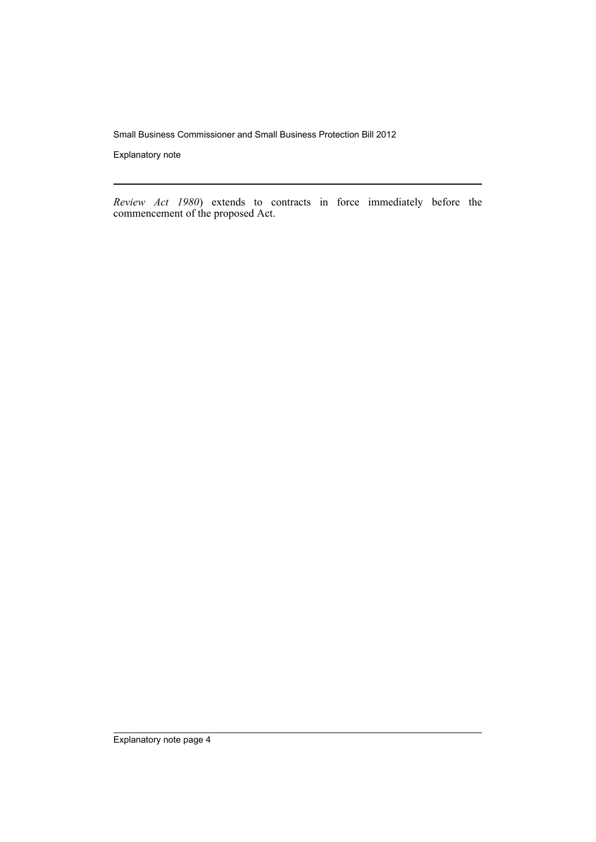Explanatory note

*Review Act 1980*) extends to contracts in force immediately before the commencement of the proposed Act.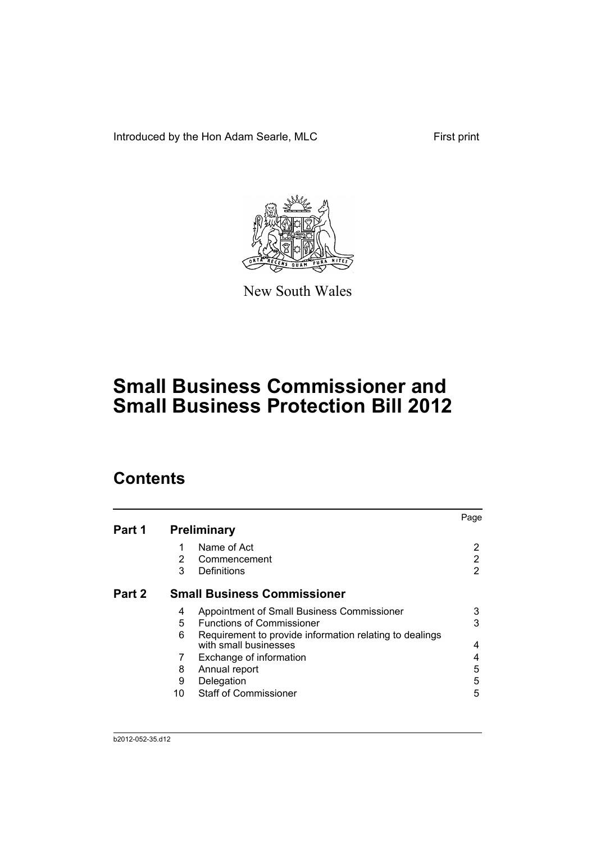Introduced by the Hon Adam Searle, MLC First print



New South Wales

# **Small Business Commissioner and Small Business Protection Bill 2012**

# **Contents**

|        |    |                                                                                  | Page |
|--------|----|----------------------------------------------------------------------------------|------|
| Part 1 |    | <b>Preliminary</b>                                                               |      |
|        | 1  | Name of Act                                                                      | 2    |
|        | 2  | Commencement                                                                     | 2    |
|        | 3  | Definitions                                                                      | 2    |
| Part 2 |    | <b>Small Business Commissioner</b>                                               |      |
|        | 4  | Appointment of Small Business Commissioner                                       | 3    |
|        | 5  | <b>Functions of Commissioner</b>                                                 | 3    |
|        | 6  | Requirement to provide information relating to dealings<br>with small businesses | 4    |
|        | 7  | Exchange of information                                                          | 4    |
|        | 8  | Annual report                                                                    | 5    |
|        | 9  | Delegation                                                                       | 5    |
|        | 10 | <b>Staff of Commissioner</b>                                                     | 5    |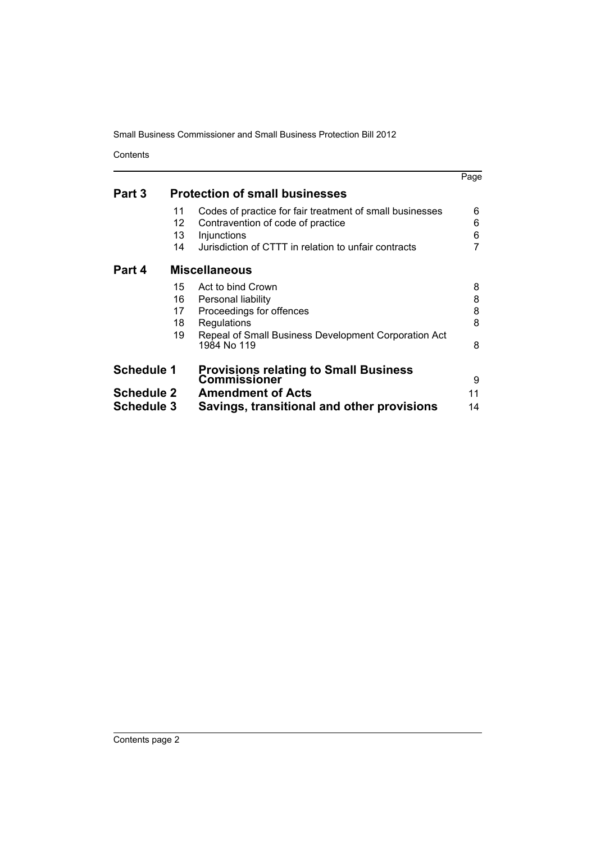Contents

|                   |    |                                                                     | Page |
|-------------------|----|---------------------------------------------------------------------|------|
| Part 3            |    | <b>Protection of small businesses</b>                               |      |
|                   | 11 | Codes of practice for fair treatment of small businesses            | 6    |
|                   | 12 | Contravention of code of practice                                   | 6    |
|                   | 13 | Injunctions                                                         | 6    |
|                   | 14 | Jurisdiction of CTTT in relation to unfair contracts                |      |
| Part 4            |    | <b>Miscellaneous</b>                                                |      |
|                   | 15 | Act to bind Crown                                                   | 8    |
|                   | 16 | Personal liability                                                  | 8    |
|                   | 17 | Proceedings for offences                                            | 8    |
|                   | 18 | Regulations                                                         | 8    |
|                   | 19 | Repeal of Small Business Development Corporation Act<br>1984 No 119 | 8    |
| <b>Schedule 1</b> |    | <b>Provisions relating to Small Business</b><br>Commissioner        | 9    |
| <b>Schedule 2</b> |    | <b>Amendment of Acts</b>                                            | 11   |
| <b>Schedule 3</b> |    | Savings, transitional and other provisions                          | 14   |
|                   |    |                                                                     |      |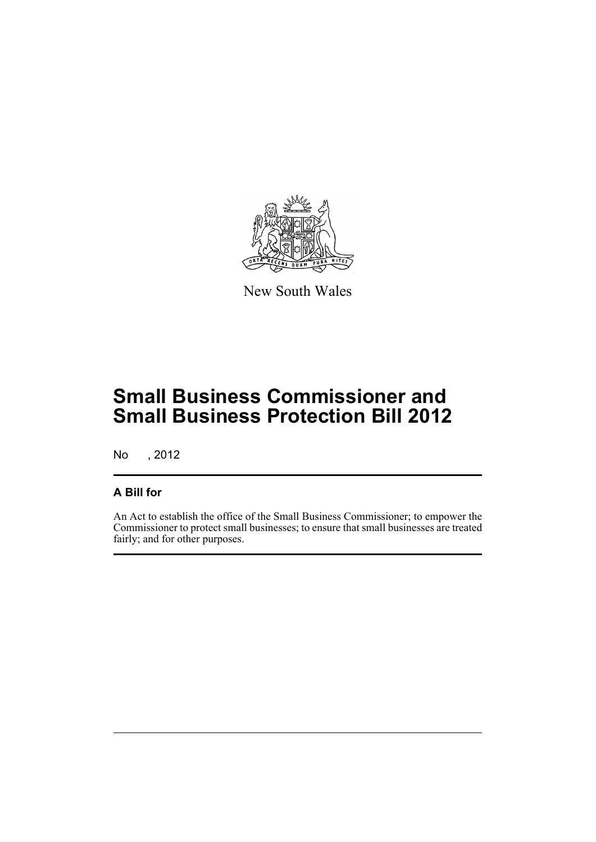

New South Wales

# **Small Business Commissioner and Small Business Protection Bill 2012**

No , 2012

# **A Bill for**

An Act to establish the office of the Small Business Commissioner; to empower the Commissioner to protect small businesses; to ensure that small businesses are treated fairly; and for other purposes.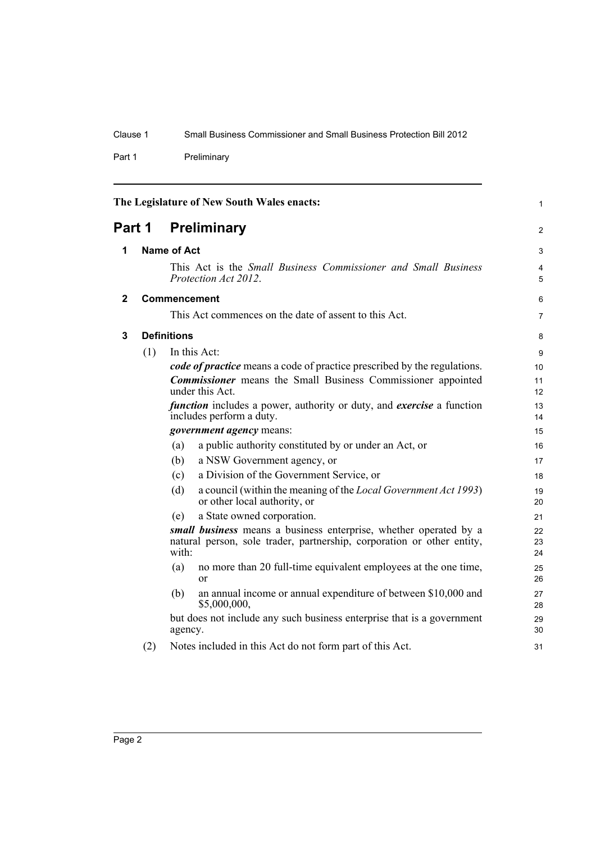Part 1 Preliminary

<span id="page-7-3"></span><span id="page-7-2"></span><span id="page-7-1"></span><span id="page-7-0"></span>

|                              |     |                     | The Legislature of New South Wales enacts:                                                                                                  | 1               |
|------------------------------|-----|---------------------|---------------------------------------------------------------------------------------------------------------------------------------------|-----------------|
| <b>Preliminary</b><br>Part 1 |     |                     | $\overline{2}$                                                                                                                              |                 |
| 1                            |     | <b>Name of Act</b>  |                                                                                                                                             | 3               |
|                              |     |                     | This Act is the Small Business Commissioner and Small Business<br>Protection Act 2012.                                                      | 4<br>5          |
| $\mathbf{2}$                 |     | <b>Commencement</b> |                                                                                                                                             | 6               |
|                              |     |                     | This Act commences on the date of assent to this Act.                                                                                       | $\overline{7}$  |
| 3                            |     | <b>Definitions</b>  |                                                                                                                                             | 8               |
|                              | (1) |                     | In this Act:                                                                                                                                | 9               |
|                              |     |                     | code of practice means a code of practice prescribed by the regulations.                                                                    | 10 <sup>1</sup> |
|                              |     |                     | <b>Commissioner</b> means the Small Business Commissioner appointed<br>under this Act.                                                      | 11<br>12        |
|                              |     |                     | <i>function</i> includes a power, authority or duty, and <i>exercise</i> a function<br>includes perform a duty.                             | 13<br>14        |
|                              |     |                     | government agency means:                                                                                                                    | 15              |
|                              |     | (a)                 | a public authority constituted by or under an Act, or                                                                                       | 16              |
|                              |     | (b)                 | a NSW Government agency, or                                                                                                                 | 17              |
|                              |     | (c)                 | a Division of the Government Service, or                                                                                                    | 18              |
|                              |     | (d)                 | a council (within the meaning of the <i>Local Government Act 1993</i> )<br>or other local authority, or                                     | 19<br>20        |
|                              |     | (e)                 | a State owned corporation.                                                                                                                  | 21              |
|                              |     | with:               | small business means a business enterprise, whether operated by a<br>natural person, sole trader, partnership, corporation or other entity, | 22<br>23<br>24  |
|                              |     | (a)                 | no more than 20 full-time equivalent employees at the one time,<br><sub>or</sub>                                                            | 25<br>26        |
|                              |     | (b)                 | an annual income or annual expenditure of between \$10,000 and<br>\$5,000,000,                                                              | 27<br>28        |
|                              |     | agency.             | but does not include any such business enterprise that is a government                                                                      | 29<br>30        |
|                              | (2) |                     | Notes included in this Act do not form part of this Act.                                                                                    | 31              |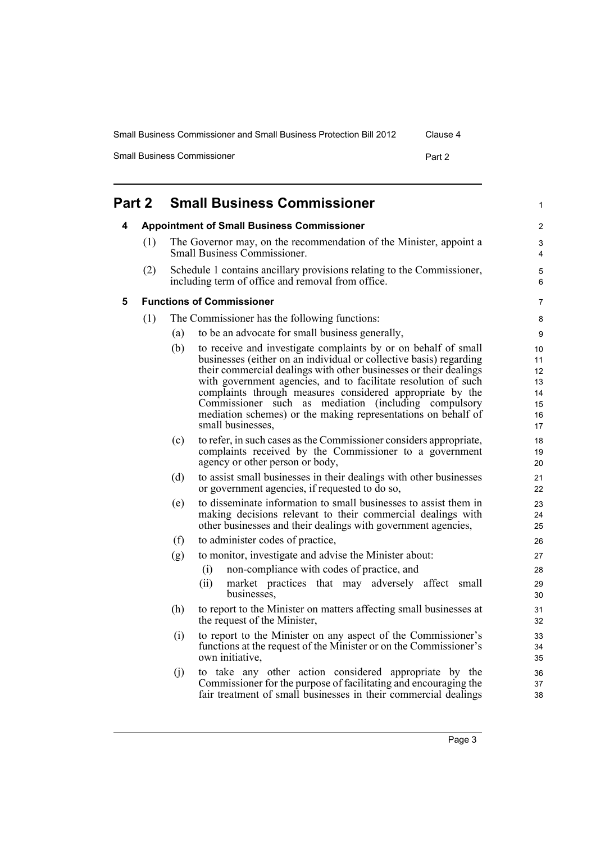| <b>Small Business Commissioner and Small Business Protection Bill 2012</b> | Clause 4 |
|----------------------------------------------------------------------------|----------|
|----------------------------------------------------------------------------|----------|

Small Business Commissioner **Part 2 Part 2** 

<span id="page-8-2"></span><span id="page-8-1"></span><span id="page-8-0"></span>

| Part 2 |     |     | <b>Small Business Commissioner</b>                                                                                                                                                                                                                                                                                                                                                                                                                                                     | 1                                            |
|--------|-----|-----|----------------------------------------------------------------------------------------------------------------------------------------------------------------------------------------------------------------------------------------------------------------------------------------------------------------------------------------------------------------------------------------------------------------------------------------------------------------------------------------|----------------------------------------------|
| 4      |     |     | <b>Appointment of Small Business Commissioner</b>                                                                                                                                                                                                                                                                                                                                                                                                                                      | 2                                            |
|        | (1) |     | The Governor may, on the recommendation of the Minister, appoint a<br>Small Business Commissioner.                                                                                                                                                                                                                                                                                                                                                                                     | 3<br>4                                       |
|        | (2) |     | Schedule 1 contains ancillary provisions relating to the Commissioner,<br>including term of office and removal from office.                                                                                                                                                                                                                                                                                                                                                            | 5<br>6                                       |
| 5      |     |     | <b>Functions of Commissioner</b>                                                                                                                                                                                                                                                                                                                                                                                                                                                       | 7                                            |
|        | (1) |     | The Commissioner has the following functions:                                                                                                                                                                                                                                                                                                                                                                                                                                          | 8                                            |
|        |     | (a) | to be an advocate for small business generally,                                                                                                                                                                                                                                                                                                                                                                                                                                        | 9                                            |
|        |     | (b) | to receive and investigate complaints by or on behalf of small<br>businesses (either on an individual or collective basis) regarding<br>their commercial dealings with other businesses or their dealings<br>with government agencies, and to facilitate resolution of such<br>complaints through measures considered appropriate by the<br>Commissioner such as mediation (including compulsory<br>mediation schemes) or the making representations on behalf of<br>small businesses, | 10<br>11<br>12<br>13<br>14<br>15<br>16<br>17 |
|        |     | (c) | to refer, in such cases as the Commissioner considers appropriate,<br>complaints received by the Commissioner to a government<br>agency or other person or body,                                                                                                                                                                                                                                                                                                                       | 18<br>19<br>20                               |
|        |     | (d) | to assist small businesses in their dealings with other businesses<br>or government agencies, if requested to do so,                                                                                                                                                                                                                                                                                                                                                                   | 21<br>22                                     |
|        |     | (e) | to disseminate information to small businesses to assist them in<br>making decisions relevant to their commercial dealings with<br>other businesses and their dealings with government agencies,                                                                                                                                                                                                                                                                                       | 23<br>24<br>25                               |
|        |     | (f) | to administer codes of practice,                                                                                                                                                                                                                                                                                                                                                                                                                                                       | 26                                           |
|        |     | (g) | to monitor, investigate and advise the Minister about:                                                                                                                                                                                                                                                                                                                                                                                                                                 | 27                                           |
|        |     |     | non-compliance with codes of practice, and<br>(i)                                                                                                                                                                                                                                                                                                                                                                                                                                      | 28                                           |
|        |     |     | (ii)<br>market practices that may adversely affect small<br>businesses.                                                                                                                                                                                                                                                                                                                                                                                                                | 29<br>30                                     |
|        |     | (h) | to report to the Minister on matters affecting small businesses at<br>the request of the Minister,                                                                                                                                                                                                                                                                                                                                                                                     | 31<br>32                                     |
|        |     | (i) | to report to the Minister on any aspect of the Commissioner's<br>functions at the request of the Minister or on the Commissioner's<br>own initiative,                                                                                                                                                                                                                                                                                                                                  | 33<br>34<br>35                               |
|        |     | (i) | to take any other action considered appropriate by the<br>Commissioner for the purpose of facilitating and encouraging the<br>fair treatment of small businesses in their commercial dealings                                                                                                                                                                                                                                                                                          | 36<br>37<br>38                               |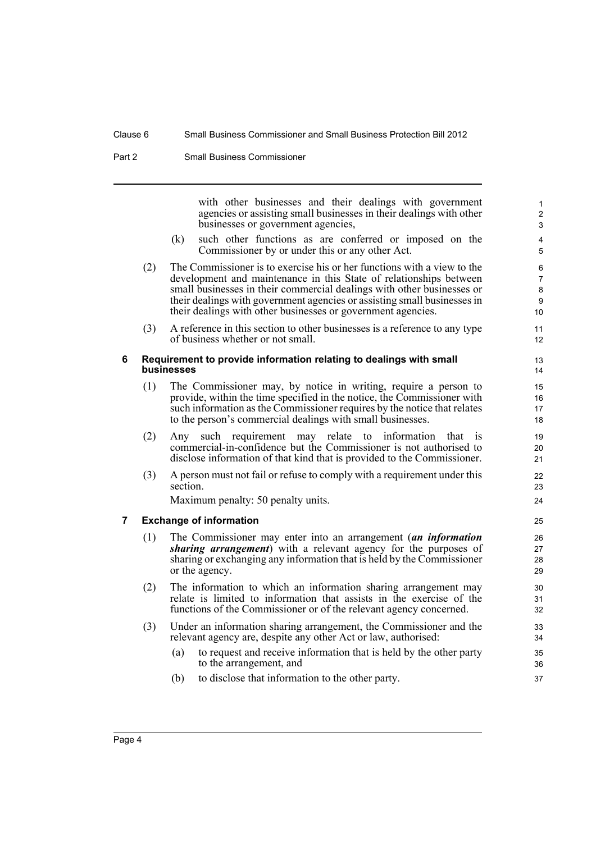Part 2 Small Business Commissioner

with other businesses and their dealings with government agencies or assisting small businesses in their dealings with other businesses or government agencies,

- (k) such other functions as are conferred or imposed on the Commissioner by or under this or any other Act.
- (2) The Commissioner is to exercise his or her functions with a view to the development and maintenance in this State of relationships between small businesses in their commercial dealings with other businesses or their dealings with government agencies or assisting small businesses in their dealings with other businesses or government agencies.
- (3) A reference in this section to other businesses is a reference to any type of business whether or not small.

#### <span id="page-9-0"></span>**6 Requirement to provide information relating to dealings with small businesses**

- (1) The Commissioner may, by notice in writing, require a person to provide, within the time specified in the notice, the Commissioner with such information as the Commissioner requires by the notice that relates to the person's commercial dealings with small businesses.
- (2) Any such requirement may relate to information that is commercial-in-confidence but the Commissioner is not authorised to disclose information of that kind that is provided to the Commissioner.
- (3) A person must not fail or refuse to comply with a requirement under this section.

Maximum penalty: 50 penalty units.

#### <span id="page-9-1"></span>**7 Exchange of information**

- (1) The Commissioner may enter into an arrangement (*an information sharing arrangement*) with a relevant agency for the purposes of sharing or exchanging any information that is held by the Commissioner or the agency.
- (2) The information to which an information sharing arrangement may relate is limited to information that assists in the exercise of the functions of the Commissioner or of the relevant agency concerned.
- (3) Under an information sharing arrangement, the Commissioner and the relevant agency are, despite any other Act or law, authorised:
	- (a) to request and receive information that is held by the other party to the arrangement, and
	- (b) to disclose that information to the other party.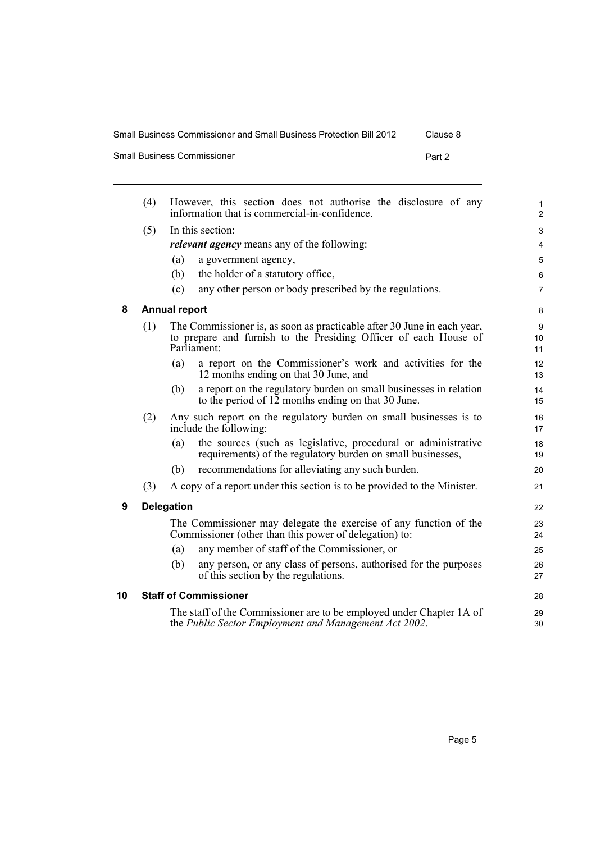| Small Business Commissioner and Small Business Protection Bill 2012<br>Clause 8 |  |
|---------------------------------------------------------------------------------|--|
|---------------------------------------------------------------------------------|--|

| <b>Small Business Commissioner</b><br>Part 2 |
|----------------------------------------------|
|                                              |

<span id="page-10-2"></span><span id="page-10-1"></span><span id="page-10-0"></span>

|    | (4) | However, this section does not authorise the disclosure of any<br>information that is commercial-in-confidence.                                            | 1<br>$\overline{c}$ |
|----|-----|------------------------------------------------------------------------------------------------------------------------------------------------------------|---------------------|
|    | (5) | In this section:                                                                                                                                           | 3                   |
|    |     | <i>relevant agency</i> means any of the following:                                                                                                         | 4                   |
|    |     | a government agency,<br>(a)                                                                                                                                | 5                   |
|    |     | the holder of a statutory office,<br>(b)                                                                                                                   | 6                   |
|    |     | (c)<br>any other person or body prescribed by the regulations.                                                                                             | 7                   |
| 8  |     | <b>Annual report</b>                                                                                                                                       | 8                   |
|    | (1) | The Commissioner is, as soon as practicable after 30 June in each year,<br>to prepare and furnish to the Presiding Officer of each House of<br>Parliament: | 9<br>10<br>11       |
|    |     | a report on the Commissioner's work and activities for the<br>(a)<br>12 months ending on that 30 June, and                                                 | 12<br>13            |
|    |     | a report on the regulatory burden on small businesses in relation<br>(b)<br>to the period of 12 months ending on that 30 June.                             | 14<br>15            |
|    | (2) | Any such report on the regulatory burden on small businesses is to<br>include the following:                                                               | 16<br>17            |
|    |     | the sources (such as legislative, procedural or administrative<br>(a)<br>requirements) of the regulatory burden on small businesses,                       | 18<br>19            |
|    |     | recommendations for alleviating any such burden.<br>(b)                                                                                                    | 20                  |
|    | (3) | A copy of a report under this section is to be provided to the Minister.                                                                                   | 21                  |
| 9  |     | <b>Delegation</b>                                                                                                                                          | 22                  |
|    |     | The Commissioner may delegate the exercise of any function of the<br>Commissioner (other than this power of delegation) to:                                | 23<br>24            |
|    |     | any member of staff of the Commissioner, or<br>(a)                                                                                                         | 25                  |
|    |     | any person, or any class of persons, authorised for the purposes<br>(b)<br>of this section by the regulations.                                             | 26<br>27            |
| 10 |     | <b>Staff of Commissioner</b>                                                                                                                               | 28                  |
|    |     | The staff of the Commissioner are to be employed under Chapter 1A of<br>the Public Sector Employment and Management Act 2002.                              | 29<br>30            |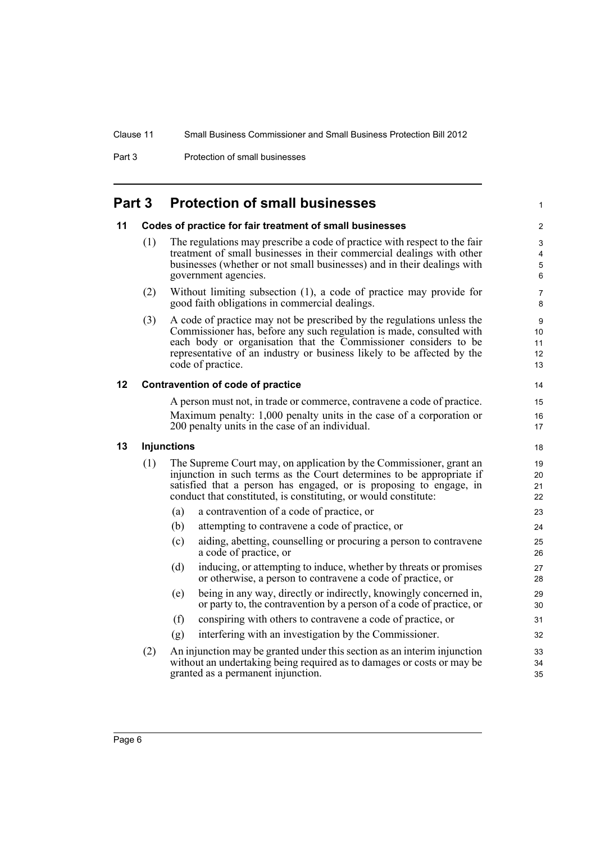Part 3 **Protection of small businesses** 

# <span id="page-11-0"></span>**Part 3 Protection of small businesses**

#### <span id="page-11-1"></span>**11 Codes of practice for fair treatment of small businesses**

(1) The regulations may prescribe a code of practice with respect to the fair treatment of small businesses in their commercial dealings with other businesses (whether or not small businesses) and in their dealings with government agencies.

1

- (2) Without limiting subsection (1), a code of practice may provide for good faith obligations in commercial dealings.
- (3) A code of practice may not be prescribed by the regulations unless the Commissioner has, before any such regulation is made, consulted with each body or organisation that the Commissioner considers to be representative of an industry or business likely to be affected by the code of practice.

#### <span id="page-11-2"></span>**12 Contravention of code of practice**

A person must not, in trade or commerce, contravene a code of practice. Maximum penalty: 1,000 penalty units in the case of a corporation or 200 penalty units in the case of an individual.

#### <span id="page-11-3"></span>**13 Injunctions**

- (1) The Supreme Court may, on application by the Commissioner, grant an injunction in such terms as the Court determines to be appropriate if satisfied that a person has engaged, or is proposing to engage, in conduct that constituted, is constituting, or would constitute:
	- (a) a contravention of a code of practice, or
	- (b) attempting to contravene a code of practice, or
	- (c) aiding, abetting, counselling or procuring a person to contravene a code of practice, or
	- (d) inducing, or attempting to induce, whether by threats or promises or otherwise, a person to contravene a code of practice, or
	- (e) being in any way, directly or indirectly, knowingly concerned in, or party to, the contravention by a person of a code of practice, or
	- (f) conspiring with others to contravene a code of practice, or
	- (g) interfering with an investigation by the Commissioner.
- (2) An injunction may be granted under this section as an interim injunction without an undertaking being required as to damages or costs or may be granted as a permanent injunction.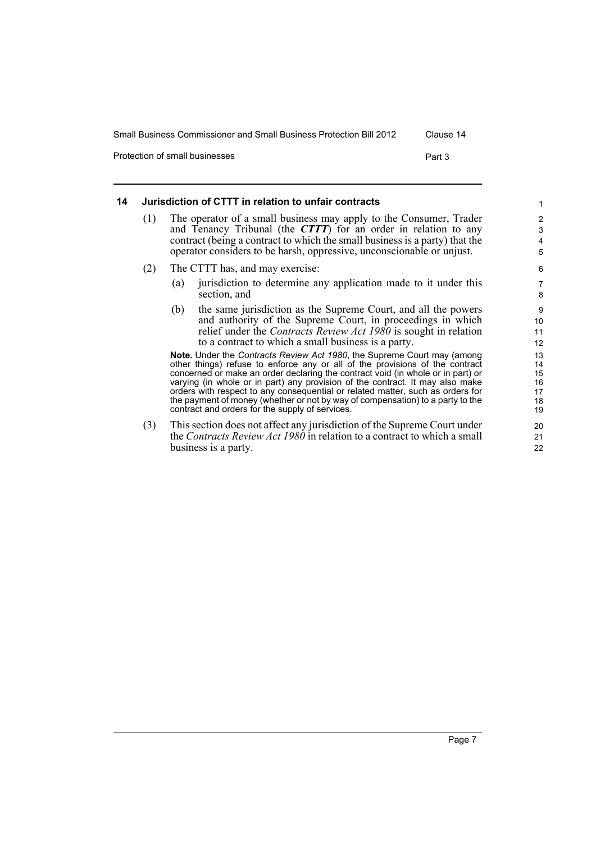Protection of small businesses **Part 3** Part 3

#### <span id="page-12-0"></span>**14 Jurisdiction of CTTT in relation to unfair contracts** (1) The operator of a small business may apply to the Consumer, Trader and Tenancy Tribunal (the *CTTT*) for an order in relation to any contract (being a contract to which the small business is a party) that the operator considers to be harsh, oppressive, unconscionable or unjust. (2) The CTTT has, and may exercise: (a) jurisdiction to determine any application made to it under this section, and (b) the same jurisdiction as the Supreme Court, and all the powers and authority of the Supreme Court, in proceedings in which relief under the *Contracts Review Act 1980* is sought in relation to a contract to which a small business is a party. **Note.** Under the *Contracts Review Act 1980*, the Supreme Court may (among other things) refuse to enforce any or all of the provisions of the contract concerned or make an order declaring the contract void (in whole or in part) or varying (in whole or in part) any provision of the contract. It may also make orders with respect to any consequential or related matter, such as orders for the payment of money (whether or not by way of compensation) to a party to the contract and orders for the supply of services. (3) This section does not affect any jurisdiction of the Supreme Court under the *Contracts Review Act 1980* in relation to a contract to which a small business is a party. 1 2 3 4 5 6 7 8 9 10 11 12 13 14 15 16 17 18 19 20 21 22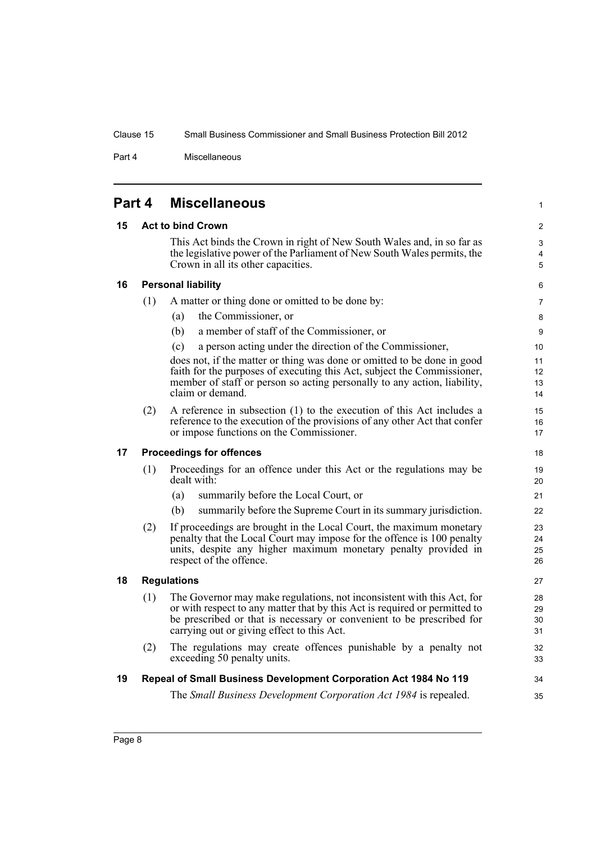1

<span id="page-13-5"></span>34 35

Part 4 Miscellaneous

<span id="page-13-4"></span><span id="page-13-3"></span><span id="page-13-2"></span><span id="page-13-1"></span><span id="page-13-0"></span>

|    | Part 4 | <b>Miscellaneous</b>                                                                                                                                                                                                                                                        |
|----|--------|-----------------------------------------------------------------------------------------------------------------------------------------------------------------------------------------------------------------------------------------------------------------------------|
| 15 |        | <b>Act to bind Crown</b>                                                                                                                                                                                                                                                    |
|    |        | This Act binds the Crown in right of New South Wales and, in so far as<br>the legislative power of the Parliament of New South Wales permits, the<br>Crown in all its other capacities.                                                                                     |
| 16 |        | <b>Personal liability</b>                                                                                                                                                                                                                                                   |
|    | (1)    | A matter or thing done or omitted to be done by:                                                                                                                                                                                                                            |
|    |        | the Commissioner, or<br>(a)                                                                                                                                                                                                                                                 |
|    |        | a member of staff of the Commissioner, or<br>(b)                                                                                                                                                                                                                            |
|    |        | a person acting under the direction of the Commissioner,<br>(c)                                                                                                                                                                                                             |
|    |        | does not, if the matter or thing was done or omitted to be done in good<br>faith for the purposes of executing this Act, subject the Commissioner,<br>member of staff or person so acting personally to any action, liability,<br>claim or demand.                          |
|    | (2)    | A reference in subsection (1) to the execution of this Act includes a<br>reference to the execution of the provisions of any other Act that confer<br>or impose functions on the Commissioner.                                                                              |
| 17 |        | <b>Proceedings for offences</b>                                                                                                                                                                                                                                             |
|    | (1)    | Proceedings for an offence under this Act or the regulations may be<br>dealt with:                                                                                                                                                                                          |
|    |        | summarily before the Local Court, or<br>(a)                                                                                                                                                                                                                                 |
|    |        | (b)<br>summarily before the Supreme Court in its summary jurisdiction.                                                                                                                                                                                                      |
|    | (2)    | If proceedings are brought in the Local Court, the maximum monetary<br>penalty that the Local Court may impose for the offence is 100 penalty<br>units, despite any higher maximum monetary penalty provided in<br>respect of the offence.                                  |
| 18 |        | <b>Regulations</b>                                                                                                                                                                                                                                                          |
|    | (1)    | The Governor may make regulations, not inconsistent with this Act, for<br>or with respect to any matter that by this Act is required or permitted to<br>be prescribed or that is necessary or convenient to be prescribed for<br>carrying out or giving effect to this Act. |
|    | (2)    | The regulations may create offences punishable by a penalty not<br>exceeding 50 penalty units.                                                                                                                                                                              |
| 19 |        | Repeal of Small Business Development Corporation Act 1984 No 119                                                                                                                                                                                                            |
|    |        | The Small Business Development Corporation Act 1984 is repealed.                                                                                                                                                                                                            |
|    |        |                                                                                                                                                                                                                                                                             |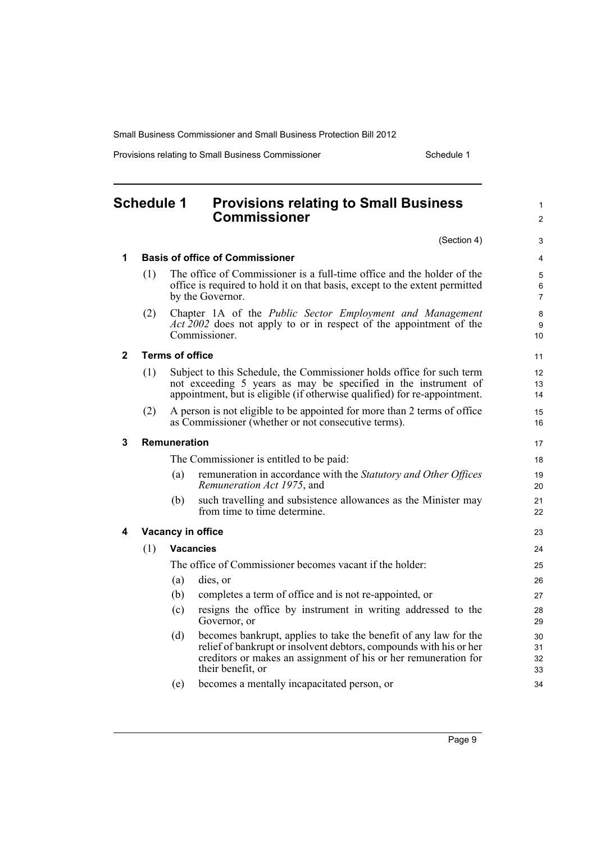Provisions relating to Small Business Commissioner Schedule 1

1  $\mathfrak{p}$ 

#### <span id="page-14-0"></span>**Schedule 1 Provisions relating to Small Business Commissioner** (Section 4) **1 Basis of office of Commissioner** (1) The office of Commissioner is a full-time office and the holder of the office is required to hold it on that basis, except to the extent permitted by the Governor. (2) Chapter 1A of the *Public Sector Employment and Management Act 2002* does not apply to or in respect of the appointment of the Commissioner. **2 Terms of office** (1) Subject to this Schedule, the Commissioner holds office for such term not exceeding 5 years as may be specified in the instrument of appointment, but is eligible (if otherwise qualified) for re-appointment. (2) A person is not eligible to be appointed for more than 2 terms of office as Commissioner (whether or not consecutive terms). **3 Remuneration** The Commissioner is entitled to be paid: (a) remuneration in accordance with the *Statutory and Other Offices Remuneration Act 1975*, and (b) such travelling and subsistence allowances as the Minister may from time to time determine. **4 Vacancy in office** (1) **Vacancies** The office of Commissioner becomes vacant if the holder: (a) dies, or (b) completes a term of office and is not re-appointed, or (c) resigns the office by instrument in writing addressed to the Governor, or (d) becomes bankrupt, applies to take the benefit of any law for the relief of bankrupt or insolvent debtors, compounds with his or her creditors or makes an assignment of his or her remuneration for their benefit, or 10 11 12 13 14 15 16 17 18 19 20 21  $22$ 23 24 25 26 27  $28$ 29 30 31 32 33

(e) becomes a mentally incapacitated person, or

34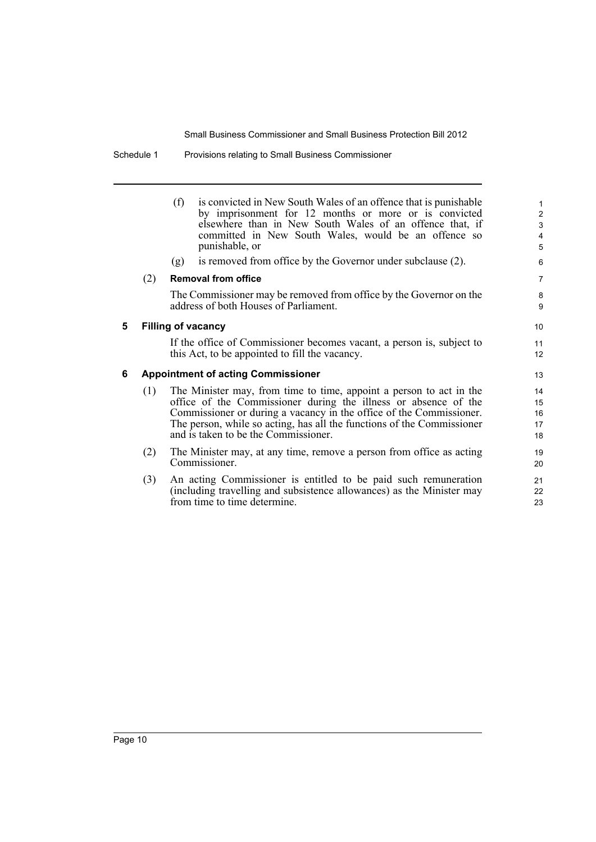Schedule 1 Provisions relating to Small Business Commissioner

(f) is convicted in New South Wales of an offence that is punishable by imprisonment for 12 months or more or is convicted elsewhere than in New South Wales of an offence that, if committed in New South Wales, would be an offence so punishable, or

(g) is removed from office by the Governor under subclause (2).

#### (2) **Removal from office**

The Commissioner may be removed from office by the Governor on the address of both Houses of Parliament.

#### **5 Filling of vacancy**

If the office of Commissioner becomes vacant, a person is, subject to this Act, to be appointed to fill the vacancy.

#### **6 Appointment of acting Commissioner**

- (1) The Minister may, from time to time, appoint a person to act in the office of the Commissioner during the illness or absence of the Commissioner or during a vacancy in the office of the Commissioner. The person, while so acting, has all the functions of the Commissioner and is taken to be the Commissioner.
- (2) The Minister may, at any time, remove a person from office as acting Commissioner.
- (3) An acting Commissioner is entitled to be paid such remuneration (including travelling and subsistence allowances) as the Minister may from time to time determine.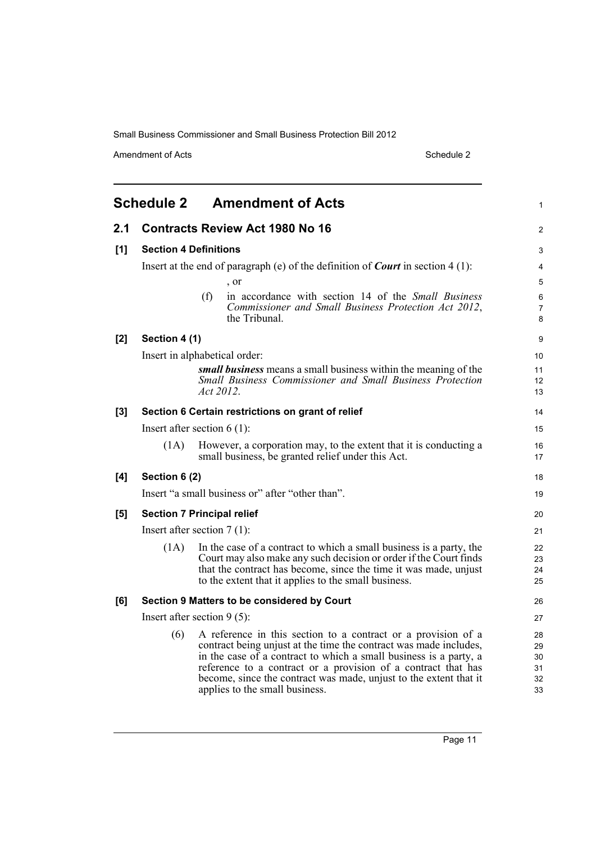Amendment of Acts Schedule 2

<span id="page-16-0"></span>

|       | <b>Schedule 2</b> | <b>Amendment of Acts</b>                                                                                                                                                                                                                                                                                                                                                        | $\mathbf{1}$                     |
|-------|-------------------|---------------------------------------------------------------------------------------------------------------------------------------------------------------------------------------------------------------------------------------------------------------------------------------------------------------------------------------------------------------------------------|----------------------------------|
| 2.1   |                   | <b>Contracts Review Act 1980 No 16</b>                                                                                                                                                                                                                                                                                                                                          | 2                                |
| [1]   |                   | <b>Section 4 Definitions</b>                                                                                                                                                                                                                                                                                                                                                    | 3                                |
|       |                   | Insert at the end of paragraph (e) of the definition of <i>Court</i> in section $4(1)$ :                                                                                                                                                                                                                                                                                        | $\overline{\mathbf{4}}$          |
|       |                   | , or                                                                                                                                                                                                                                                                                                                                                                            | 5                                |
|       |                   | (f)<br>in accordance with section 14 of the <i>Small Business</i><br>Commissioner and Small Business Protection Act 2012,<br>the Tribunal.                                                                                                                                                                                                                                      | 6<br>$\overline{7}$<br>8         |
| $[2]$ | Section 4 (1)     |                                                                                                                                                                                                                                                                                                                                                                                 | 9                                |
|       |                   | Insert in alphabetical order:                                                                                                                                                                                                                                                                                                                                                   | 10                               |
|       |                   | small business means a small business within the meaning of the<br>Small Business Commissioner and Small Business Protection<br>Act 2012.                                                                                                                                                                                                                                       | 11<br>12<br>13                   |
| [3]   |                   | Section 6 Certain restrictions on grant of relief                                                                                                                                                                                                                                                                                                                               | 14                               |
|       |                   | Insert after section $6(1)$ :                                                                                                                                                                                                                                                                                                                                                   | 15                               |
|       | (1A)              | However, a corporation may, to the extent that it is conducting a<br>small business, be granted relief under this Act.                                                                                                                                                                                                                                                          | 16<br>17                         |
| [4]   | Section 6 (2)     |                                                                                                                                                                                                                                                                                                                                                                                 | 18                               |
|       |                   | Insert "a small business or" after "other than".                                                                                                                                                                                                                                                                                                                                | 19                               |
| [5]   |                   | <b>Section 7 Principal relief</b>                                                                                                                                                                                                                                                                                                                                               | 20                               |
|       |                   | Insert after section $7(1)$ :                                                                                                                                                                                                                                                                                                                                                   | 21                               |
|       | (1A)              | In the case of a contract to which a small business is a party, the<br>Court may also make any such decision or order if the Court finds<br>that the contract has become, since the time it was made, unjust<br>to the extent that it applies to the small business.                                                                                                            | 22<br>23<br>24<br>25             |
| [6]   |                   | Section 9 Matters to be considered by Court                                                                                                                                                                                                                                                                                                                                     | 26                               |
|       |                   | Insert after section $9(5)$ :                                                                                                                                                                                                                                                                                                                                                   | 27                               |
|       | (6)               | A reference in this section to a contract or a provision of a<br>contract being unjust at the time the contract was made includes,<br>in the case of a contract to which a small business is a party, a<br>reference to a contract or a provision of a contract that has<br>become, since the contract was made, unjust to the extent that it<br>applies to the small business. | 28<br>29<br>30<br>31<br>32<br>33 |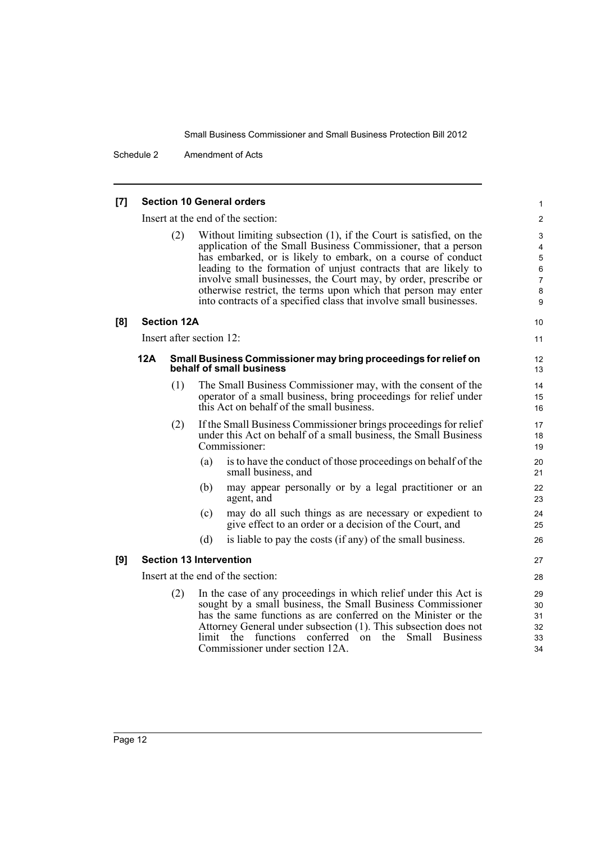Schedule 2 Amendment of Acts

#### **[7] Section 10 General orders**

Insert at the end of the section:

(2) Without limiting subsection (1), if the Court is satisfied, on the application of the Small Business Commissioner, that a person has embarked, or is likely to embark, on a course of conduct leading to the formation of unjust contracts that are likely to involve small businesses, the Court may, by order, prescribe or otherwise restrict, the terms upon which that person may enter into contracts of a specified class that involve small businesses.

#### **[8] Section 12A**

Insert after section 12:

#### **12A Small Business Commissioner may bring proceedings for relief on behalf of small business**

- (1) The Small Business Commissioner may, with the consent of the operator of a small business, bring proceedings for relief under this Act on behalf of the small business.
- (2) If the Small Business Commissioner brings proceedings for relief under this Act on behalf of a small business, the Small Business Commissioner:
	- (a) is to have the conduct of those proceedings on behalf of the small business, and
	- (b) may appear personally or by a legal practitioner or an agent, and
	- (c) may do all such things as are necessary or expedient to give effect to an order or a decision of the Court, and
	- (d) is liable to pay the costs (if any) of the small business.

#### **[9] Section 13 Intervention**

Insert at the end of the section:

(2) In the case of any proceedings in which relief under this Act is sought by a small business, the Small Business Commissioner has the same functions as are conferred on the Minister or the Attorney General under subsection (1). This subsection does not limit the functions conferred on the Small Business Commissioner under section 12A.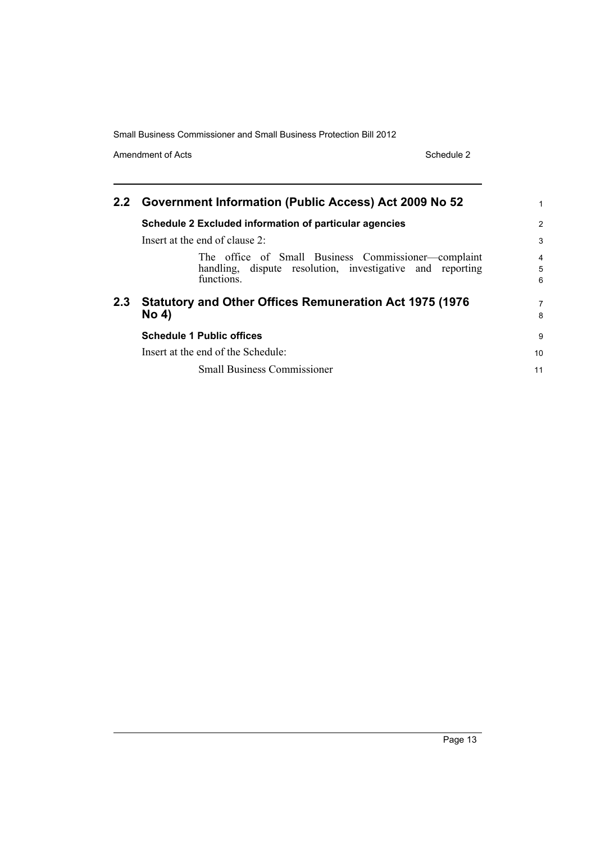Amendment of Acts Schedule 2

|                  | 2.2 Government Information (Public Access) Act 2009 No 52                                                                      | 1                        |
|------------------|--------------------------------------------------------------------------------------------------------------------------------|--------------------------|
|                  | Schedule 2 Excluded information of particular agencies                                                                         | 2                        |
|                  | Insert at the end of clause $2$ :                                                                                              | 3                        |
|                  | The office of Small Business Commissioner-complaint<br>handling, dispute resolution, investigative and reporting<br>functions. | $\overline{4}$<br>5<br>6 |
| 2.3 <sub>2</sub> | <b>Statutory and Other Offices Remuneration Act 1975 (1976)</b><br><b>No 4)</b>                                                | 7<br>8                   |
|                  | <b>Schedule 1 Public offices</b>                                                                                               | 9                        |
|                  | Insert at the end of the Schedule:                                                                                             | 10                       |
|                  | <b>Small Business Commissioner</b>                                                                                             | 11                       |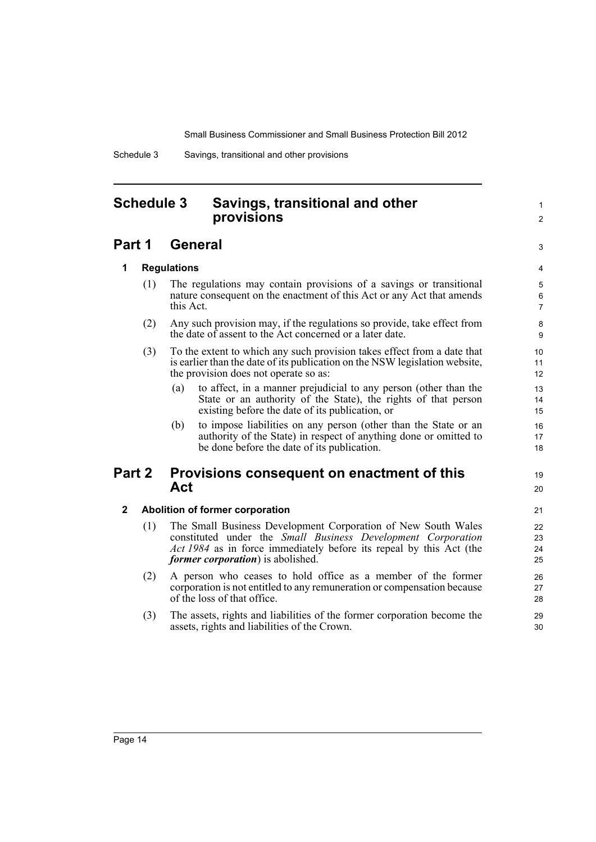Schedule 3 Savings, transitional and other provisions

# <span id="page-19-0"></span>**Schedule 3 Savings, transitional and other provisions**

# **Part 1 General**

## 3 4

19 20

1  $\mathfrak{p}$ 

### **1 Regulations**

- (1) The regulations may contain provisions of a savings or transitional nature consequent on the enactment of this Act or any Act that amends this Act.
- (2) Any such provision may, if the regulations so provide, take effect from the date of assent to the Act concerned or a later date.
- (3) To the extent to which any such provision takes effect from a date that is earlier than the date of its publication on the NSW legislation website, the provision does not operate so as:
	- (a) to affect, in a manner prejudicial to any person (other than the State or an authority of the State), the rights of that person existing before the date of its publication, or
	- (b) to impose liabilities on any person (other than the State or an authority of the State) in respect of anything done or omitted to be done before the date of its publication.

### **Part 2 Provisions consequent on enactment of this Act**

#### **2 Abolition of former corporation**

- (1) The Small Business Development Corporation of New South Wales constituted under the *Small Business Development Corporation Act 1984* as in force immediately before its repeal by this Act (the *former corporation*) is abolished.
- (2) A person who ceases to hold office as a member of the former corporation is not entitled to any remuneration or compensation because of the loss of that office.
- (3) The assets, rights and liabilities of the former corporation become the assets, rights and liabilities of the Crown.